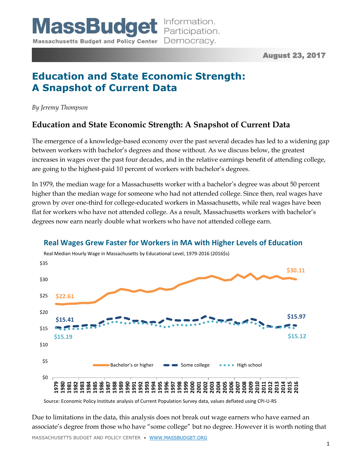August 23, 2017

# **Education and State Economic Strength: A Snapshot of Current Data**

*By Jeremy Thompson*

## **Education and State Economic Strength: A Snapshot of Current Data**

The emergence of a knowledge-based economy over the past several decades has led to a widening gap between workers with bachelor's degrees and those without. As we discuss below, the greatest increases in wages over the past four decades, and in the relative earnings benefit of attending college, are going to the highest-paid 10 percent of workers with bachelor's degrees.

In 1979, the median wage for a Massachusetts worker with a bachelor's degree was about 50 percent higher than the median wage for someone who had not attended college. Since then, real wages have grown by over one-third for college-educated workers in Massachusetts, while real wages have been flat for workers who have not attended college. As a result, Massachusetts workers with bachelor's degrees now earn nearly double what workers who have not attended college earn.



### **Real Wages Grew Faster for Workers in MA with Higher Levels of Education**

Source: Economic Policy Institute analysis of Current Population Survey data, values deflated using CPI-U-RS

MASSACHUSETTS BUDGET AND POLICY CENTER • [WWW.MASSBUDGET.ORG](http://www.massbudget.org/) Due to limitations in the data, this analysis does not break out wage earners who have earned an associate's degree from those who have "some college" but no degree. However it is worth noting that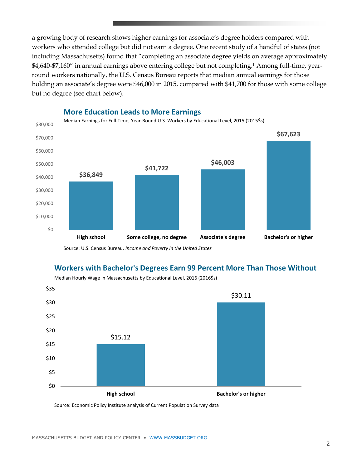a growing body of research shows higher earnings for associate's degree holders compared with workers who attended college but did not earn a degree. One recent study of a handful of states (not including Massachusetts) found that "completing an associate degree yields on average approximately \$4,640-\$7,160" in annual earnings above entering college but not completing.<sup>1</sup> Among full-time, yearround workers nationally, the U.S. Census Bureau reports that median annual earnings for those holding an associate's degree were \$46,000 in 2015, compared with \$41,700 for those with some college but no degree (see chart below).



#### **More Education Leads to More Earnings**

Source: U.S. Census Bureau, *Income and Poverty in the United States*

### **Workers with Bachelor's Degrees Earn 99 Percent More Than Those Without**



Median Hourly Wage in Massachusetts by Educational Level, 2016 (2016\$s)

Source: Economic Policy Institute analysis of Current Population Survey data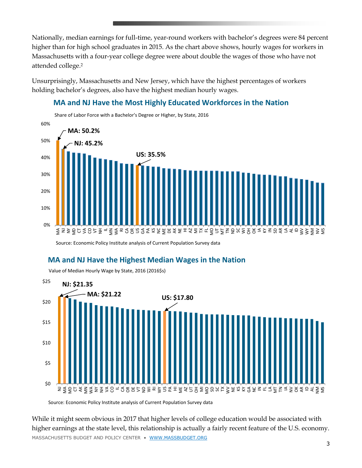Nationally, median earnings for full-time, year-round workers with bachelor's degrees were 84 percent higher than for high school graduates in 2015. As the chart above shows, hourly wages for workers in Massachusetts with a four-year college degree were about double the wages of those who have not attended college.<sup>2</sup>

Unsurprisingly, Massachusetts and New Jersey, which have the highest percentages of workers holding bachelor's degrees, also have the highest median hourly wages.

### **MA and NJ Have the Most Highly Educated Workforces in the Nation**



Source: Economic Policy Institute analysis of Current Population Survey data

### **MA and NJ Have the Highest Median Wages in the Nation**



Value of Median Hourly Wage by State, 2016 (2016\$s)

Source: Economic Policy Institute analysis of Current Population Survey data

MASSACHUSETTS BUDGET AND POLICY CENTER • [WWW.MASSBUDGET.ORG](http://www.massbudget.org/) While it might seem obvious in 2017 that higher levels of college education would be associated with higher earnings at the state level, this relationship is actually a fairly recent feature of the U.S. economy.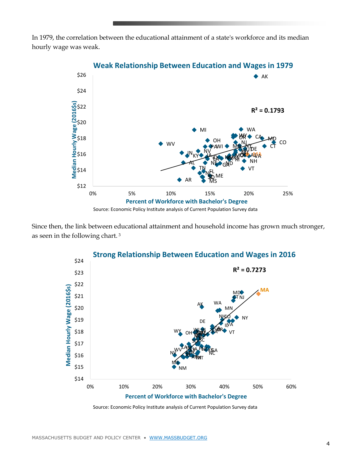In 1979, the correlation between the educational attainment of a state's workforce and its median hourly wage was weak.



Since then, the link between educational attainment and household income has grown much stronger, as seen in the following chart. <sup>3</sup>



Source: Economic Policy Institute analysis of Current Population Survey data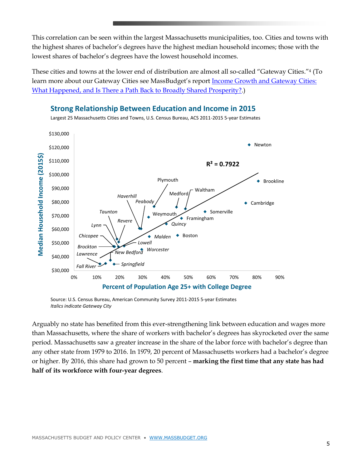This correlation can be seen within the largest Massachusetts municipalities, too. Cities and towns with the highest shares of bachelor's degrees have the highest median household incomes; those with the lowest shares of bachelor's degrees have the lowest household incomes.

These cities and towns at the lower end of distribution are almost all so-called "Gateway Cities."<sup>4</sup> (To learn more about our Gateway Cities see MassBudget's report [Income Growth and Gateway Cities:](http://massbudget.org/report_window.php?loc=Income-Growth-and-Gateway-Cities.html)  [What Happened, and Is There a Path Back to Broadly Shared Prosperity?.](http://massbudget.org/report_window.php?loc=Income-Growth-and-Gateway-Cities.html))



Source: U.S. Census Bureau, American Community Survey 2011-2015 5-year Estimates *Italics indicate Gateway City*

Arguably no state has benefited from this ever-strengthening link between education and wages more than Massachusetts, where the share of workers with bachelor's degrees has skyrocketed over the same period. Massachusetts saw a greater increase in the share of the labor force with bachelor's degree than any other state from 1979 to 2016. In 1979, 20 percent of Massachusetts workers had a bachelor's degree or higher. By 2016, this share had grown to 50 percent – **marking the first time that any state has had half of its workforce with four-year degrees**.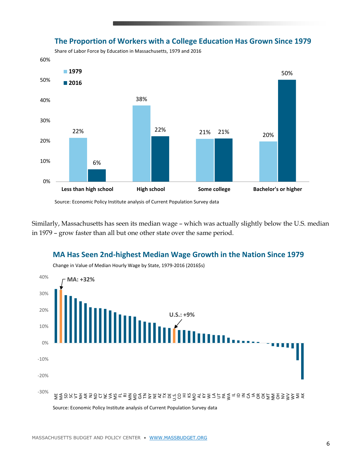

### **The Proportion of Workers with a College Education Has Grown Since 1979**

Share of Labor Force by Education in Massachusetts, 1979 and 2016

Source: Economic Policy Institute analysis of Current Population Survey data

Similarly, Massachusetts has seen its median wage – which was actually slightly below the U.S. median in 1979 – grow faster than all but one other state over the same period.

### **MA Has Seen 2nd-highest Median Wage Growth in the Nation Since 1979**

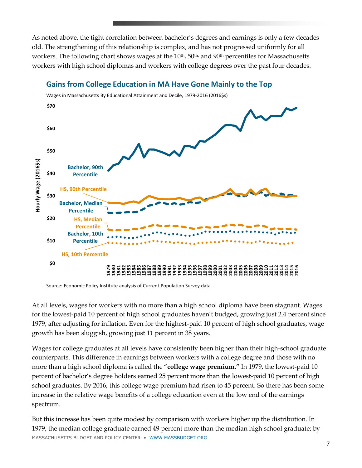As noted above, the tight correlation between bachelor's degrees and earnings is only a few decades old. The strengthening of this relationship is complex, and has not progressed uniformly for all workers. The following chart shows wages at the 10<sup>th</sup>, 50<sup>th,</sup> and 90<sup>th</sup> percentiles for Massachusetts workers with high school diplomas and workers with college degrees over the past four decades.



### **Gains from College Education in MA Have Gone Mainly to the Top**

Source: Economic Policy Institute analysis of Current Population Survey data

At all levels, wages for workers with no more than a high school diploma have been stagnant. Wages for the lowest-paid 10 percent of high school graduates haven't budged, growing just 2.4 percent since 1979, after adjusting for inflation. Even for the highest-paid 10 percent of high school graduates, wage growth has been sluggish, growing just 11 percent in 38 years.

Wages for college graduates at all levels have consistently been higher than their high-school graduate counterparts. This difference in earnings between workers with a college degree and those with no more than a high school diploma is called the "**college wage premium."** In 1979, the lowest-paid 10 percent of bachelor's degree holders earned 25 percent more than the lowest-paid 10 percent of high school graduates. By 2016, this college wage premium had risen to 45 percent. So there has been some increase in the relative wage benefits of a college education even at the low end of the earnings spectrum.

MASSACHUSETTS BUDGET AND POLICY CENTER • [WWW.MASSBUDGET.ORG](http://www.massbudget.org/) But this increase has been quite modest by comparison with workers higher up the distribution. In 1979, the median college graduate earned 49 percent more than the median high school graduate; by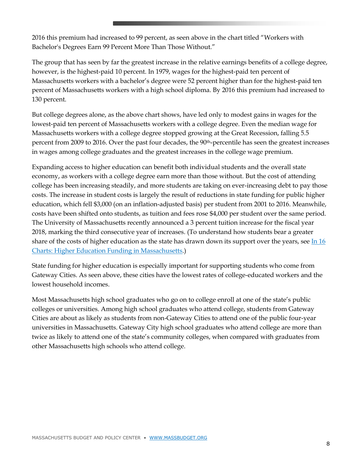2016 this premium had increased to 99 percent, as seen above in the chart titled "Workers with Bachelor's Degrees Earn 99 Percent More Than Those Without."

The group that has seen by far the greatest increase in the relative earnings benefits of a college degree, however, is the highest-paid 10 percent. In 1979, wages for the highest-paid ten percent of Massachusetts workers with a bachelor's degree were 52 percent higher than for the highest-paid ten percent of Massachusetts workers with a high school diploma. By 2016 this premium had increased to 130 percent.

But college degrees alone, as the above chart shows, have led only to modest gains in wages for the lowest-paid ten percent of Massachusetts workers with a college degree. Even the median wage for Massachusetts workers with a college degree stopped growing at the Great Recession, falling 5.5 percent from 2009 to 2016. Over the past four decades, the 90<sup>th</sup>-percentile has seen the greatest increases in wages among college graduates and the greatest increases in the college wage premium.

Expanding access to higher education can benefit both individual students and the overall state economy, as workers with a college degree earn more than those without. But the cost of attending college has been increasing steadily, and more students are taking on ever-increasing debt to pay those costs. The increase in student costs is largely the result of reductions in state funding for public higher education, which fell \$3,000 (on an inflation-adjusted basis) per student from 2001 to 2016. Meanwhile, costs have been shifted onto students, as tuition and fees rose \$4,000 per student over the same period. The University of Massachusetts recently announced a 3 percent tuition increase for the fiscal year 2018, marking the third consecutive year of increases. (To understand how students bear a greater share of the costs of higher education as the state has drawn down its support over the years, see In 16 [Charts: Higher Education Funding in Massachusetts.](http://massbudget.org/report_window.php?loc=higher-education-funding-in-massachusetts.html))

State funding for higher education is especially important for supporting students who come from Gateway Cities. As seen above, these cities have the lowest rates of college-educated workers and the lowest household incomes.

Most Massachusetts high school graduates who go on to college enroll at one of the state's public colleges or universities. Among high school graduates who attend college, students from Gateway Cities are about as likely as students from non-Gateway Cities to attend one of the public four-year universities in Massachusetts. Gateway City high school graduates who attend college are more than twice as likely to attend one of the state's community colleges, when compared with graduates from other Massachusetts high schools who attend college.